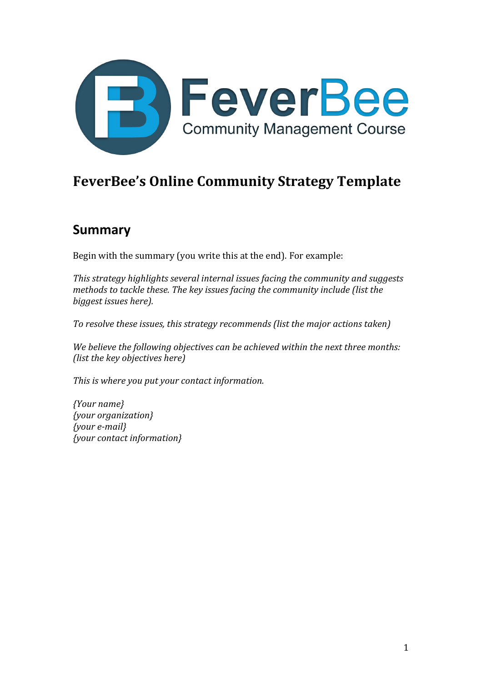

# **FeverBee's Online Community Strategy Template**

## **Summary**

Begin with the summary (you write this at the end). For example:

*This strategy highlights several internal issues facing the community and suggests methods to tackle these. The key issues facing the community include (list the biggest issues here).* 

*To resolve these issues, this strategy recommends (list the major actions taken)* 

We believe the following objectives can be achieved within the next three months: *(list the key objectives here)* 

This is where you put your contact information.

*{Your name} {your organization} {your e-mail} {your contact information}*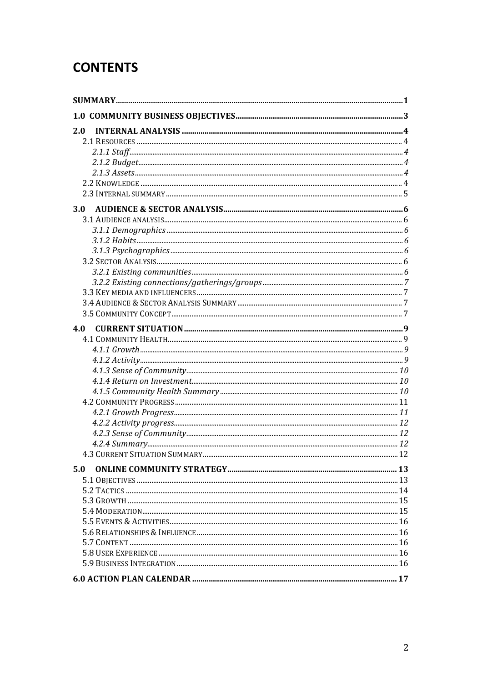# **CONTENTS**

| 2.0        |  |
|------------|--|
|            |  |
|            |  |
|            |  |
|            |  |
|            |  |
|            |  |
| <b>3.0</b> |  |
|            |  |
|            |  |
|            |  |
|            |  |
|            |  |
|            |  |
|            |  |
|            |  |
|            |  |
|            |  |
| 4.0        |  |
|            |  |
|            |  |
|            |  |
|            |  |
|            |  |
|            |  |
|            |  |
|            |  |
|            |  |
|            |  |
|            |  |
|            |  |
| 5.0        |  |
|            |  |
|            |  |
|            |  |
|            |  |
|            |  |
|            |  |
|            |  |
|            |  |
|            |  |
|            |  |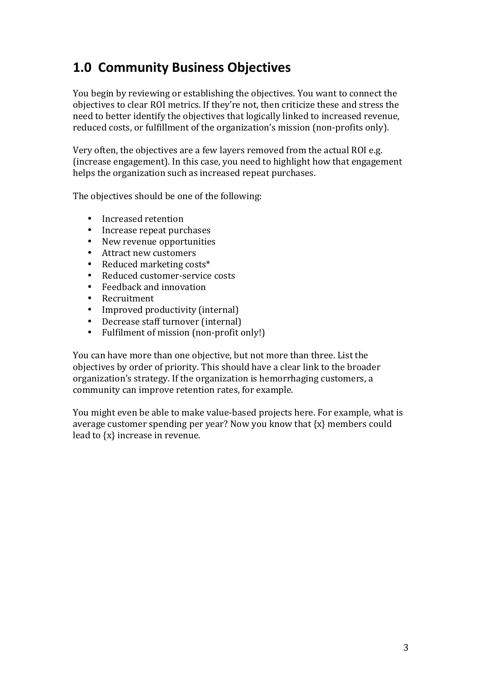# **1.0 Community Business Objectives**

You begin by reviewing or establishing the objectives. You want to connect the objectives to clear ROI metrics. If they're not, then criticize these and stress the need to better identify the objectives that logically linked to increased revenue, reduced costs, or fulfillment of the organization's mission (non-profits only).

Very often, the objectives are a few layers removed from the actual ROI e.g. (increase engagement). In this case, you need to highlight how that engagement helps the organization such as increased repeat purchases.

The objectives should be one of the following:

- Increased retention<br>• Increase repeat pure
- Increase repeat purchases
- New revenue opportunities
- Attract new customers
- Reduced marketing costs\*
- Reduced customer-service costs
- Feedback and innovation<br>• Recruitment
- Recruitment
- Improved productivity (internal)
- Decrease staff turnover (internal)<br>• Fulfilment of mission (non-profit of
- Fulfilment of mission (non-profit only!)

You can have more than one objective, but not more than three. List the objectives by order of priority. This should have a clear link to the broader organization's strategy. If the organization is hemorrhaging customers, a community can improve retention rates, for example.

You might even be able to make value-based projects here. For example, what is average customer spending per year? Now you know that  $\{x\}$  members could lead to  $\{x\}$  increase in revenue.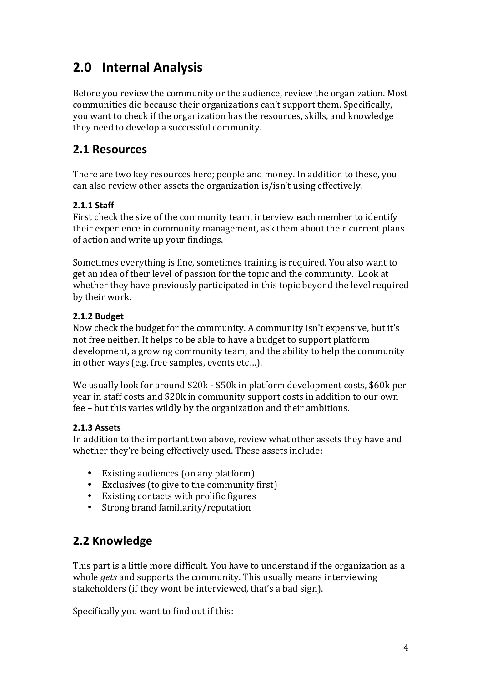# **2.0 Internal Analysis**

Before you review the community or the audience, review the organization. Most communities die because their organizations can't support them. Specifically, you want to check if the organization has the resources, skills, and knowledge they need to develop a successful community.

### **2.1 Resources**

There are two key resources here; people and money. In addition to these, you can also review other assets the organization is/isn't using effectively.

### **2.1.1 Staff**

First check the size of the community team, interview each member to identify their experience in community management, ask them about their current plans of action and write up your findings.

Sometimes everything is fine, sometimes training is required. You also want to get an idea of their level of passion for the topic and the community. Look at whether they have previously participated in this topic beyond the level required by their work.

### **2.1.2 Budget**

Now check the budget for the community. A community isn't expensive, but it's not free neither. It helps to be able to have a budget to support platform development, a growing community team, and the ability to help the community in other ways (e.g. free samples, events etc...).

We usually look for around \$20k - \$50k in platform development costs, \$60k per year in staff costs and \$20k in community support costs in addition to our own fee – but this varies wildly by the organization and their ambitions.

### **2.1.3 Assets**

In addition to the important two above, review what other assets they have and whether they're being effectively used. These assets include:

- Existing audiences (on any platform)
- Exclusives (to give to the community first)
- Existing contacts with prolific figures
- Strong brand familiarity/reputation

## **2.2 Knowledge**

This part is a little more difficult. You have to understand if the organization as a whole *gets* and supports the community. This usually means interviewing stakeholders (if they wont be interviewed, that's a bad sign).

Specifically you want to find out if this: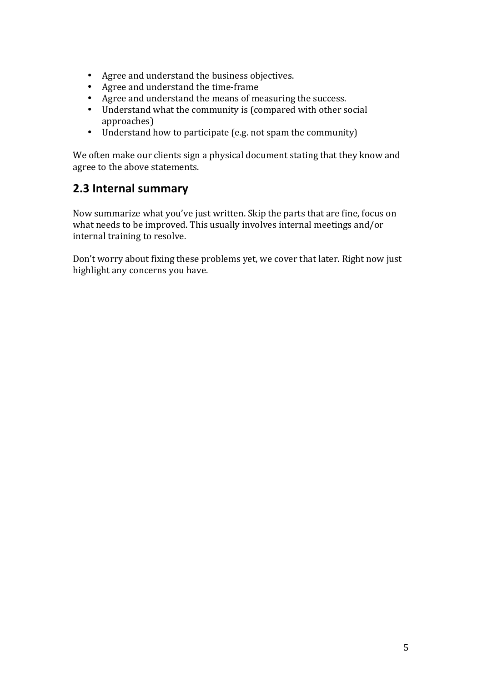- Agree and understand the business objectives.
- Agree and understand the time-frame
- Agree and understand the means of measuring the success.
- Understand what the community is (compared with other social approaches)
- Understand how to participate (e.g. not spam the community)

We often make our clients sign a physical document stating that they know and agree to the above statements.

### **2.3 Internal summary**

Now summarize what you've just written. Skip the parts that are fine, focus on what needs to be improved. This usually involves internal meetings and/or internal training to resolve.

Don't worry about fixing these problems yet, we cover that later. Right now just highlight any concerns you have.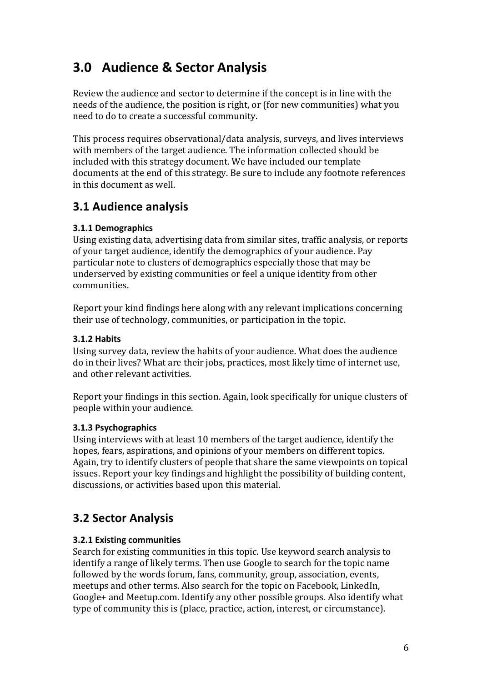# **3.0 Audience & Sector Analysis**

Review the audience and sector to determine if the concept is in line with the needs of the audience, the position is right, or (for new communities) what you need to do to create a successful community.

This process requires observational/data analysis, surveys, and lives interviews with members of the target audience. The information collected should be included with this strategy document. We have included our template documents at the end of this strategy. Be sure to include any footnote references in this document as well.

## **3.1 Audience analysis**

### **3.1.1 Demographics**

Using existing data, advertising data from similar sites, traffic analysis, or reports of your target audience, identify the demographics of your audience. Pay particular note to clusters of demographics especially those that may be underserved by existing communities or feel a unique identity from other communities. 

Report your kind findings here along with any relevant implications concerning their use of technology, communities, or participation in the topic.

### **3.1.2 Habits**

Using survey data, review the habits of your audience. What does the audience do in their lives? What are their jobs, practices, most likely time of internet use, and other relevant activities.

Report vour findings in this section. Again, look specifically for unique clusters of people within your audience.

### **3.1.3 Psychographics**

Using interviews with at least 10 members of the target audience, identify the hopes, fears, aspirations, and opinions of your members on different topics. Again, try to identify clusters of people that share the same viewpoints on topical issues. Report your key findings and highlight the possibility of building content, discussions, or activities based upon this material.

## **3.2 Sector Analysis**

### **3.2.1 Existing communities**

Search for existing communities in this topic. Use keyword search analysis to identify a range of likely terms. Then use Google to search for the topic name followed by the words forum, fans, community, group, association, events, meetups and other terms. Also search for the topic on Facebook, LinkedIn, Google+ and Meetup.com. Identify any other possible groups. Also identify what type of community this is (place, practice, action, interest, or circumstance).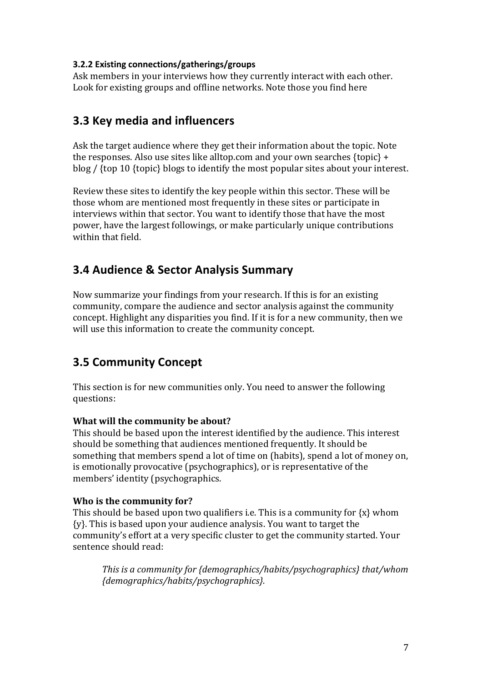#### **3.2.2 Existing connections/gatherings/groups**

Ask members in your interviews how they currently interact with each other. Look for existing groups and offline networks. Note those you find here

### **3.3 Key media and influencers**

Ask the target audience where they get their information about the topic. Note the responses. Also use sites like alltop.com and your own searches  $\{top\}$  + blog  $/$  {top 10 {topic} blogs to identify the most popular sites about your interest.

Review these sites to identify the key people within this sector. These will be those whom are mentioned most frequently in these sites or participate in interviews within that sector. You want to identify those that have the most power, have the largest followings, or make particularly unique contributions within that field.

### **3.4 Audience & Sector Analysis Summary**

Now summarize your findings from your research. If this is for an existing community, compare the audience and sector analysis against the community concept. Highlight any disparities you find. If it is for a new community, then we will use this information to create the community concept.

## **3.5 Community Concept**

This section is for new communities only. You need to answer the following questions:

### **What will the community be about?**

This should be based upon the interest identified by the audience. This interest should be something that audiences mentioned frequently. It should be something that members spend a lot of time on (habits), spend a lot of money on, is emotionally provocative (psychographics), or is representative of the members' identity (psychographics.

### **Who is the community for?**

This should be based upon two qualifiers i.e. This is a community for  $\{x\}$  whom  $\{y\}$ . This is based upon your audience analysis. You want to target the community's effort at a very specific cluster to get the community started. Your sentence should read:

*This is a community for {demographics/habits/psychographics} that/whom {demographics/habits/psychographics}.*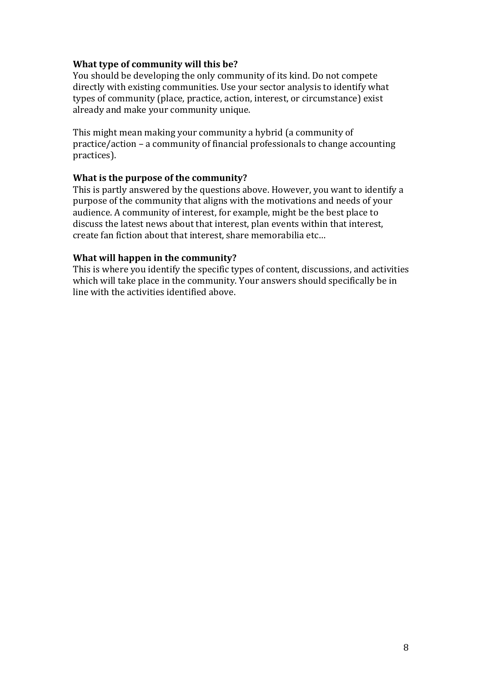#### **What type of community will this be?**

You should be developing the only community of its kind. Do not compete directly with existing communities. Use your sector analysis to identify what types of community (place, practice, action, interest, or circumstance) exist already and make your community unique.

This might mean making your community a hybrid (a community of practice/action – a community of financial professionals to change accounting practices). 

#### **What is the purpose of the community?**

This is partly answered by the questions above. However, you want to identify a purpose of the community that aligns with the motivations and needs of your audience. A community of interest, for example, might be the best place to discuss the latest news about that interest, plan events within that interest, create fan fiction about that interest, share memorabilia etc...

#### **What will happen in the community?**

This is where you identify the specific types of content, discussions, and activities which will take place in the community. Your answers should specifically be in line with the activities identified above.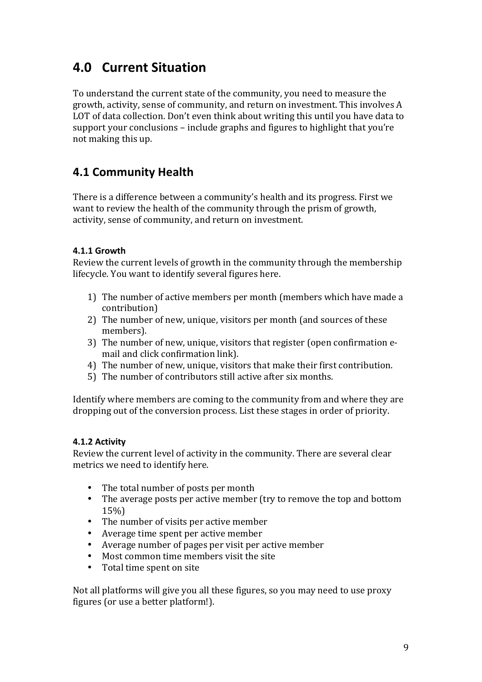## **4.0 Current Situation**

To understand the current state of the community, you need to measure the growth, activity, sense of community, and return on investment. This involves A LOT of data collection. Don't even think about writing this until you have data to support your conclusions  $-$  include graphs and figures to highlight that you're not making this up.

### **4.1 Community Health**

There is a difference between a community's health and its progress. First we want to review the health of the community through the prism of growth, activity, sense of community, and return on investment.

### **4.1.1 Growth**

Review the current levels of growth in the community through the membership lifecycle. You want to identify several figures here.

- 1) The number of active members per month (members which have made a contribution)
- 2) The number of new, unique, visitors per month (and sources of these members).
- 3) The number of new, unique, visitors that register (open confirmation email and click confirmation link).
- 4) The number of new, unique, visitors that make their first contribution.
- 5) The number of contributors still active after six months.

Identify where members are coming to the community from and where they are dropping out of the conversion process. List these stages in order of priority.

#### **4.1.2 Activity**

Review the current level of activity in the community. There are several clear metrics we need to identify here.

- The total number of posts per month
- The average posts per active member (try to remove the top and bottom 15%)
- The number of visits per active member
- Average time spent per active member
- Average number of pages per visit per active member
- Most common time members visit the site
- Total time spent on site

Not all platforms will give you all these figures, so you may need to use proxy figures (or use a better platform!).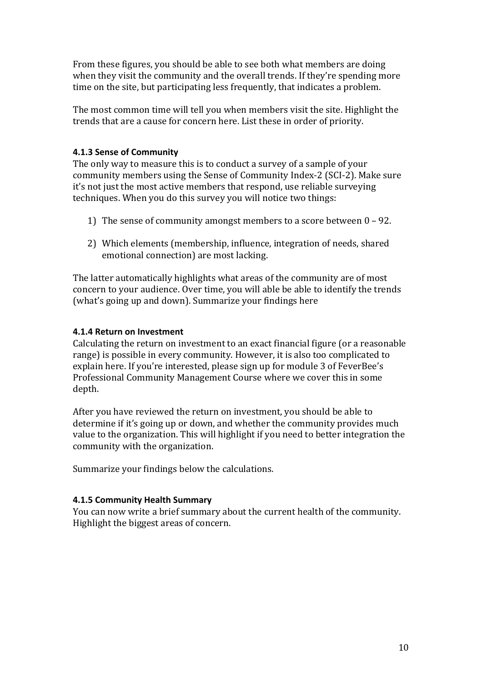From these figures, you should be able to see both what members are doing when they visit the community and the overall trends. If they're spending more time on the site, but participating less frequently, that indicates a problem.

The most common time will tell you when members visit the site. Highlight the trends that are a cause for concern here. List these in order of priority.

#### **4.1.3 Sense of Community**

The only way to measure this is to conduct a survey of a sample of your community members using the Sense of Community Index-2 (SCI-2). Make sure it's not just the most active members that respond, use reliable surveying techniques. When you do this survey you will notice two things:

- 1) The sense of community amongst members to a score between  $0 92$ .
- 2) Which elements (membership, influence, integration of needs, shared emotional connection) are most lacking.

The latter automatically highlights what areas of the community are of most concern to your audience. Over time, you will able be able to identify the trends (what's going up and down). Summarize your findings here

#### **4.1.4 Return on Investment**

Calculating the return on investment to an exact financial figure (or a reasonable range) is possible in every community. However, it is also too complicated to explain here. If you're interested, please sign up for module 3 of FeverBee's Professional Community Management Course where we cover this in some depth. 

After you have reviewed the return on investment, you should be able to determine if it's going up or down, and whether the community provides much value to the organization. This will highlight if you need to better integration the community with the organization.

Summarize your findings below the calculations.

#### **4.1.5 Community Health Summary**

You can now write a brief summary about the current health of the community. Highlight the biggest areas of concern.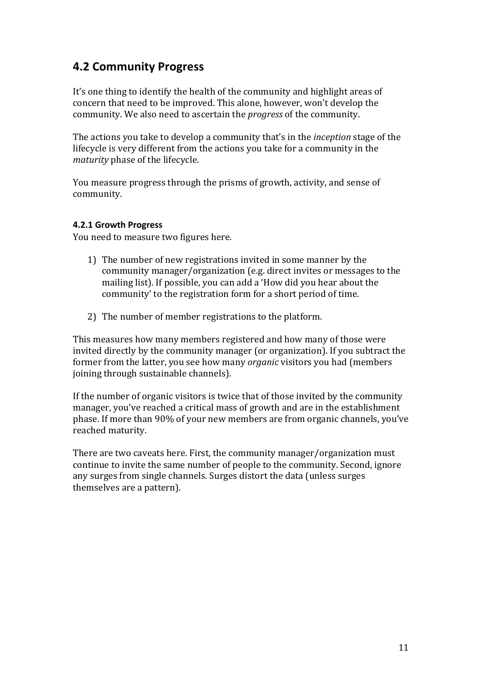### **4.2 Community Progress**

It's one thing to identify the health of the community and highlight areas of concern that need to be improved. This alone, however, won't develop the community. We also need to ascertain the *progress* of the community.

The actions you take to develop a community that's in the *inception* stage of the lifecycle is very different from the actions you take for a community in the *maturity* phase of the lifecycle.

You measure progress through the prisms of growth, activity, and sense of community. 

#### **4.2.1 Growth Progress**

You need to measure two figures here.

- 1) The number of new registrations invited in some manner by the community manager/organization (e.g. direct invites or messages to the mailing list). If possible, you can add a 'How did you hear about the community' to the registration form for a short period of time.
- 2) The number of member registrations to the platform.

This measures how many members registered and how many of those were invited directly by the community manager (or organization). If you subtract the former from the latter, you see how many *organic* visitors you had (members joining through sustainable channels).

If the number of organic visitors is twice that of those invited by the community manager, you've reached a critical mass of growth and are in the establishment phase. If more than 90% of your new members are from organic channels, you've reached maturity.

There are two caveats here. First, the community manager/organization must continue to invite the same number of people to the community. Second, ignore any surges from single channels. Surges distort the data (unless surges themselves are a pattern).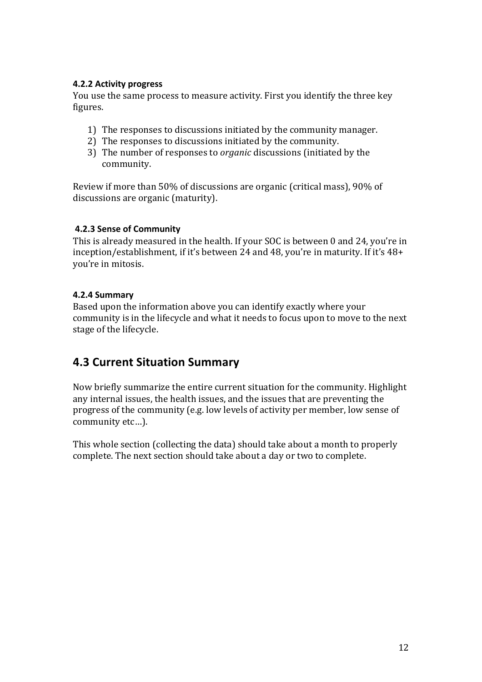#### **4.2.2 Activity progress**

You use the same process to measure activity. First you identify the three key figures.

- 1) The responses to discussions initiated by the community manager.
- 2) The responses to discussions initiated by the community.
- 3) The number of responses to *organic* discussions (initiated by the community.

Review if more than 50% of discussions are organic (critical mass), 90% of discussions are organic (maturity).

#### **4.2.3 Sense of Community**

This is already measured in the health. If your SOC is between 0 and 24, you're in inception/establishment, if it's between 24 and 48, you're in maturity. If it's  $48+$ vou're in mitosis.

#### **4.2.4 Summary**

Based upon the information above you can identify exactly where your community is in the lifecycle and what it needs to focus upon to move to the next stage of the lifecycle.

### **4.3 Current Situation Summary**

Now briefly summarize the entire current situation for the community. Highlight any internal issues, the health issues, and the issues that are preventing the progress of the community (e.g. low levels of activity per member, low sense of community etc...).

This whole section (collecting the data) should take about a month to properly complete. The next section should take about a day or two to complete.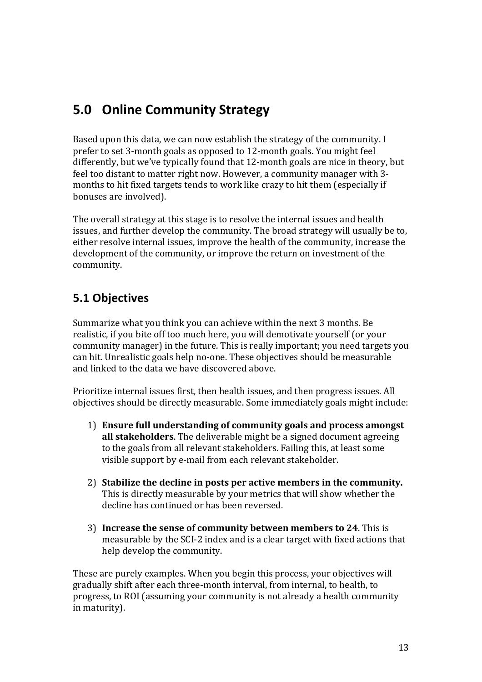## **5.0 Online Community Strategy**

Based upon this data, we can now establish the strategy of the community. I prefer to set 3-month goals as opposed to 12-month goals. You might feel differently, but we've typically found that 12-month goals are nice in theory, but feel too distant to matter right now. However, a community manager with 3months to hit fixed targets tends to work like crazy to hit them (especially if bonuses are involved).

The overall strategy at this stage is to resolve the internal issues and health issues, and further develop the community. The broad strategy will usually be to, either resolve internal issues, improve the health of the community, increase the development of the community, or improve the return on investment of the community. 

## **5.1 Objectives**

Summarize what you think you can achieve within the next 3 months. Be realistic, if you bite off too much here, you will demotivate yourself (or your community manager) in the future. This is really important; you need targets you can hit. Unrealistic goals help no-one. These objectives should be measurable and linked to the data we have discovered above.

Prioritize internal issues first, then health issues, and then progress issues. All objectives should be directly measurable. Some immediately goals might include:

- 1) **Ensure full understanding of community goals and process amongst all stakeholders**. The deliverable might be a signed document agreeing to the goals from all relevant stakeholders. Failing this, at least some visible support by e-mail from each relevant stakeholder.
- 2) Stabilize the decline in posts per active members in the community. This is directly measurable by your metrics that will show whether the decline has continued or has been reversed
- 3) **Increase the sense of community between members to 24**. This is measurable by the SCI-2 index and is a clear target with fixed actions that help develop the community.

These are purely examples. When you begin this process, your objectives will gradually shift after each three-month interval, from internal, to health, to progress, to ROI (assuming your community is not already a health community in maturity).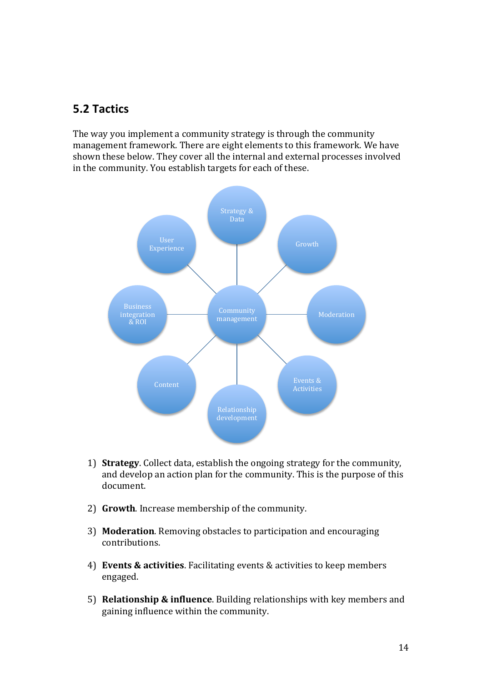### **5.2 Tactics**

The way you implement a community strategy is through the community management framework. There are eight elements to this framework. We have shown these below. They cover all the internal and external processes involved in the community. You establish targets for each of these.



- 1) **Strategy**. Collect data, establish the ongoing strategy for the community, and develop an action plan for the community. This is the purpose of this document.
- 2) Growth. Increase membership of the community.
- 3) **Moderation**. Removing obstacles to participation and encouraging contributions.
- 4) **Events & activities**. Facilitating events & activities to keep members engaged.
- 5) **Relationship & influence**. Building relationships with key members and gaining influence within the community.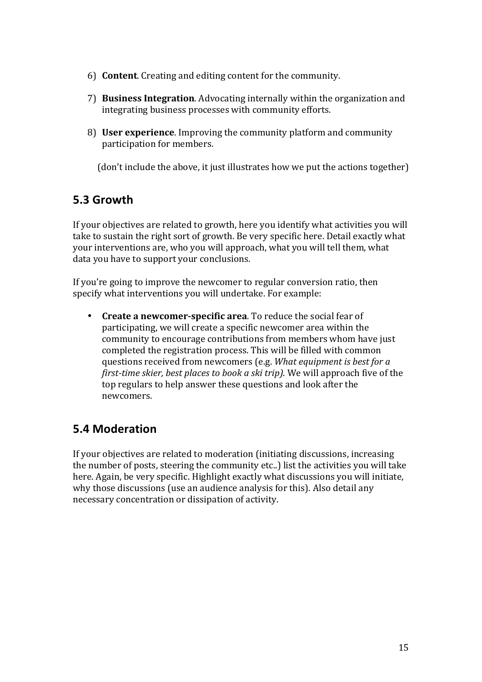- 6) **Content**. Creating and editing content for the community.
- 7) **Business Integration**. Advocating internally within the organization and integrating business processes with community efforts.
- 8) **User experience**. Improving the community platform and community participation for members.

(don't include the above, it just illustrates how we put the actions together)

### **5.3 Growth**

If your objectives are related to growth, here you identify what activities you will take to sustain the right sort of growth. Be very specific here. Detail exactly what your interventions are, who you will approach, what you will tell them, what data you have to support your conclusions.

If you're going to improve the newcomer to regular conversion ratio, then specify what interventions you will undertake. For example:

• Create a newcomer-specific area. To reduce the social fear of participating, we will create a specific newcomer area within the community to encourage contributions from members whom have just completed the registration process. This will be filled with common questions received from newcomers (e.g. *What equipment is best for a first-time skier, best places to book a ski trip*). We will approach five of the top regulars to help answer these questions and look after the newcomers. 

### **5.4 Moderation**

If your objectives are related to moderation (initiating discussions, increasing the number of posts, steering the community etc..) list the activities you will take here. Again, be very specific. Highlight exactly what discussions you will initiate, why those discussions (use an audience analysis for this). Also detail any necessary concentration or dissipation of activity.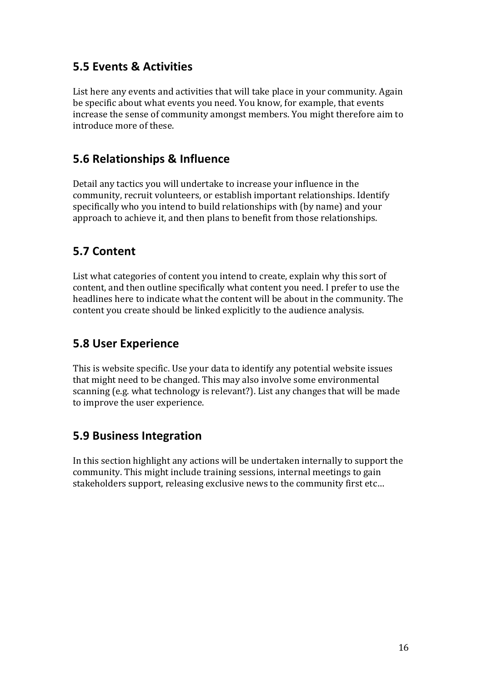### **5.5 Events & Activities**

List here any events and activities that will take place in your community. Again be specific about what events you need. You know, for example, that events increase the sense of community amongst members. You might therefore aim to introduce more of these.

### **5.6 Relationships & Influence**

Detail any tactics you will undertake to increase your influence in the community, recruit volunteers, or establish important relationships. Identify specifically who you intend to build relationships with (by name) and your approach to achieve it, and then plans to benefit from those relationships.

### **5.7 Content**

List what categories of content you intend to create, explain why this sort of content, and then outline specifically what content you need. I prefer to use the headlines here to indicate what the content will be about in the community. The content you create should be linked explicitly to the audience analysis.

### **5.8 User Experience**

This is website specific. Use your data to identify any potential website issues that might need to be changed. This may also involve some environmental scanning (e.g. what technology is relevant?). List any changes that will be made to improve the user experience.

### **5.9 Business Integration**

In this section highlight any actions will be undertaken internally to support the community. This might include training sessions, internal meetings to gain stakeholders support, releasing exclusive news to the community first etc...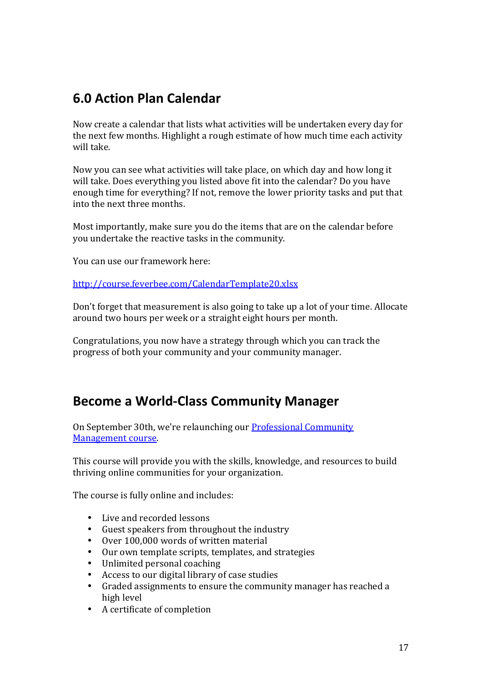## **6.0 Action Plan Calendar**

Now create a calendar that lists what activities will be undertaken every day for the next few months. Highlight a rough estimate of how much time each activity will take

Now you can see what activities will take place, on which day and how long it will take. Does everything you listed above fit into the calendar? Do you have enough time for everything? If not, remove the lower priority tasks and put that into the next three months.

Most importantly, make sure you do the items that are on the calendar before you undertake the reactive tasks in the community.

You can use our framework here:

http://course.feverbee.com/CalendarTemplate20.xlsx

Don't forget that measurement is also going to take up a lot of your time. Allocate around two hours per week or a straight eight hours per month.

Congratulations, you now have a strategy through which you can track the progress of both your community and your community manager.

## **Become a World-Class Community Manager**

On September 30th, we're relaunching our Professional Community Management course.

This course will provide you with the skills, knowledge, and resources to build thriving online communities for your organization.

The course is fully online and includes:

- Live and recorded lessons
- Guest speakers from throughout the industry
- Over 100,000 words of written material
- Our own template scripts, templates, and strategies<br>• Inlimited personal coaching
- Unlimited personal coaching
- Access to our digital library of case studies
- Graded assignments to ensure the community manager has reached a high level
- A certificate of completion